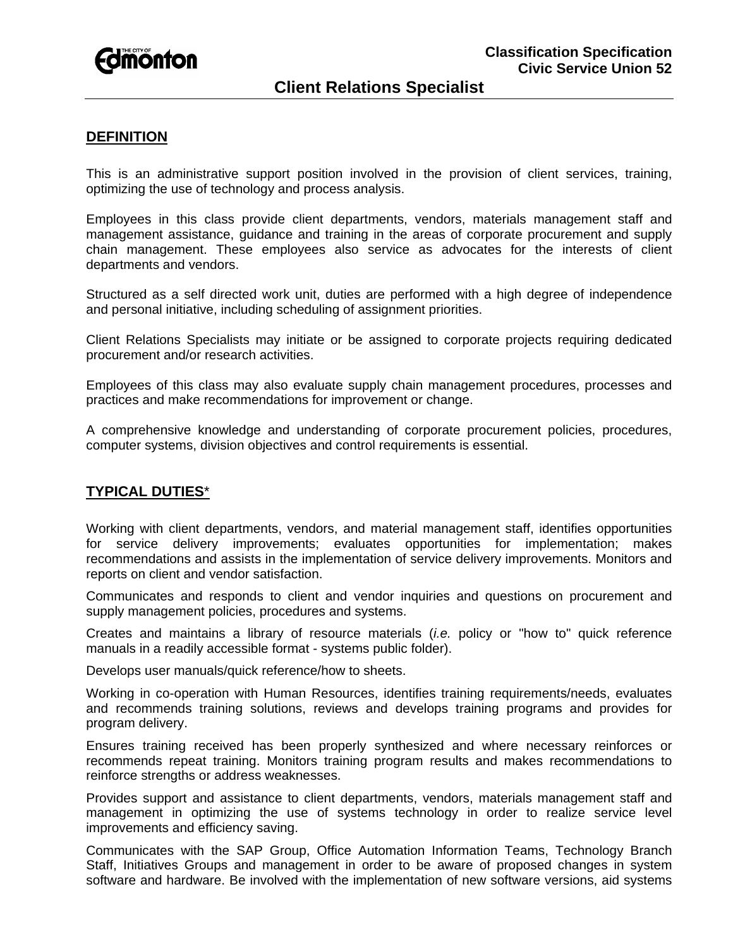

# **Client Relations Specialist**

### **DEFINITION**

This is an administrative support position involved in the provision of client services, training, optimizing the use of technology and process analysis.

Employees in this class provide client departments, vendors, materials management staff and management assistance, guidance and training in the areas of corporate procurement and supply chain management. These employees also service as advocates for the interests of client departments and vendors.

Structured as a self directed work unit, duties are performed with a high degree of independence and personal initiative, including scheduling of assignment priorities.

Client Relations Specialists may initiate or be assigned to corporate projects requiring dedicated procurement and/or research activities.

Employees of this class may also evaluate supply chain management procedures, processes and practices and make recommendations for improvement or change.

A comprehensive knowledge and understanding of corporate procurement policies, procedures, computer systems, division objectives and control requirements is essential.

#### **TYPICAL DUTIES**\*

Working with client departments, vendors, and material management staff, identifies opportunities for service delivery improvements; evaluates opportunities for implementation; makes recommendations and assists in the implementation of service delivery improvements. Monitors and reports on client and vendor satisfaction.

Communicates and responds to client and vendor inquiries and questions on procurement and supply management policies, procedures and systems.

Creates and maintains a library of resource materials (*i.e.* policy or "how to" quick reference manuals in a readily accessible format - systems public folder).

Develops user manuals/quick reference/how to sheets.

Working in co-operation with Human Resources, identifies training requirements/needs, evaluates and recommends training solutions, reviews and develops training programs and provides for program delivery.

Ensures training received has been properly synthesized and where necessary reinforces or recommends repeat training. Monitors training program results and makes recommendations to reinforce strengths or address weaknesses.

Provides support and assistance to client departments, vendors, materials management staff and management in optimizing the use of systems technology in order to realize service level improvements and efficiency saving.

Communicates with the SAP Group, Office Automation Information Teams, Technology Branch Staff, Initiatives Groups and management in order to be aware of proposed changes in system software and hardware. Be involved with the implementation of new software versions, aid systems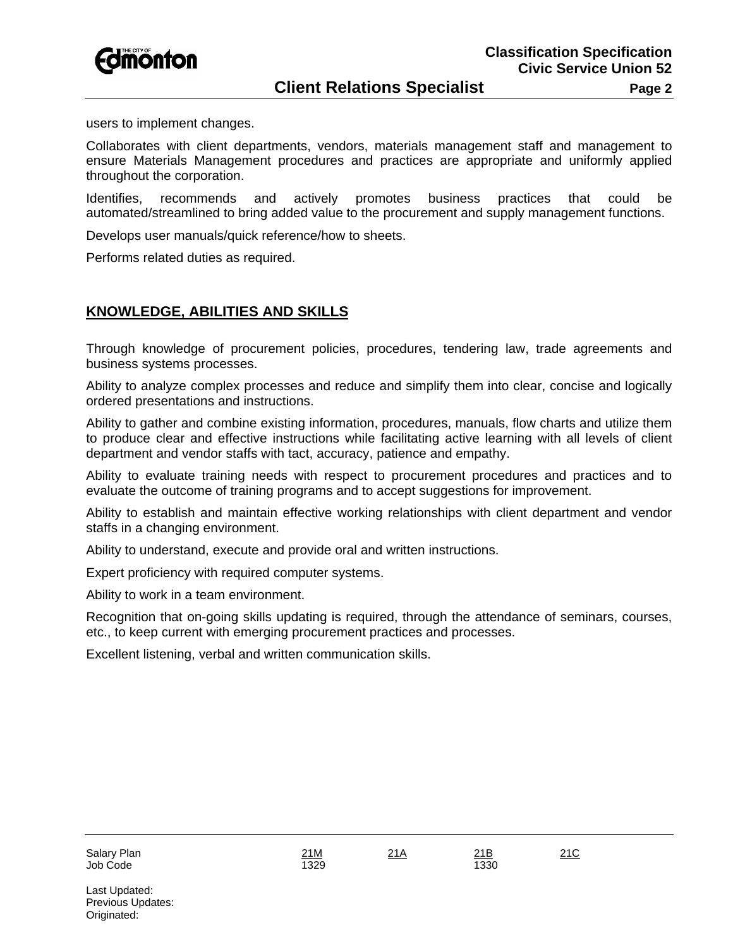

users to implement changes.

Collaborates with client departments, vendors, materials management staff and management to ensure Materials Management procedures and practices are appropriate and uniformly applied throughout the corporation.

Identifies, recommends and actively promotes business practices that could be automated/streamlined to bring added value to the procurement and supply management functions.

Develops user manuals/quick reference/how to sheets.

Performs related duties as required.

## **KNOWLEDGE, ABILITIES AND SKILLS**

Through knowledge of procurement policies, procedures, tendering law, trade agreements and business systems processes.

Ability to analyze complex processes and reduce and simplify them into clear, concise and logically ordered presentations and instructions.

Ability to gather and combine existing information, procedures, manuals, flow charts and utilize them to produce clear and effective instructions while facilitating active learning with all levels of client department and vendor staffs with tact, accuracy, patience and empathy.

Ability to evaluate training needs with respect to procurement procedures and practices and to evaluate the outcome of training programs and to accept suggestions for improvement.

Ability to establish and maintain effective working relationships with client department and vendor staffs in a changing environment.

Ability to understand, execute and provide oral and written instructions.

Expert proficiency with required computer systems.

Ability to work in a team environment.

Recognition that on-going skills updating is required, through the attendance of seminars, courses, etc., to keep current with emerging procurement practices and processes.

Excellent listening, verbal and written communication skills.